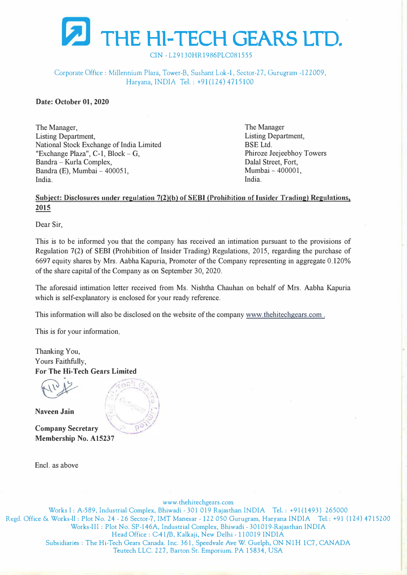

CIN - L29130HR1986PLC081555

## Corporate Office: Millennium Plaza, Tower-B, Sushant Lok-1, Sector-27, Gurugram -122009, Haryana, INDIA Tel. : +91(124)4715100

**Date: October 01, 2020** 

The Manager, Listing Department, National Stock Exchange of India Limited "Exchange Plaza", C-1, Block- G, Bandra - Kurla Complex, Bandra (E), Mumbai - 400051, India.

The Manager Listing Department, BSE Ltd. Phiroze Jeejeebhoy Towers Dalal Street, Fort, Mumbai - 400001, India.

## Subject: Disclosures under regulation 7(2)(b) of SEBI (Prohibition of Insider Trading) Regulations, **2015**

Dear Sir,

This is to be informed you that the company has received an intimation pursuant to the provisions of Regulation 7(2) of SEBI (Prohibition of Insider Trading) Regulations, 2015, regarding the purchase of 6697 equity shares by Mrs. Aabha Kapuria, Promoter of the Company representing in aggregate 0.120% of the share capital of the Company as on September 30, 2020.

The aforesaid intimation letter received from Ms. Nishtha Chauhan on behalf of Mrs. Aabha Kapuria which is self-explanatory is enclosed for your ready reference.

This information will also be disclosed on the website of the company www.thehitechgears.com.

This is for your information.

Thanking You, Yours Faithfully, **For The Hi-Tech Gears Limited** 

**Naveen Jain** 

**Company Secretary Membership No. A15237** 

Encl. as above



Works l: A-589, Industrial Complex, Bhiwadi - 301 019 Rajasthan INDIA Tel.: +91(1493) 265000 Regd. Office & Works-11: Plot No. 24 - 26 Sector-7, IMT Manesar -122 050 Gurugram, Haryana INDIA Tel.: +91 (124) 4 715200 Works-III: Plot No. SP-146A, Industrial Complex, Bhiwadi - 301019-Rajasthan INDIA Head Office: C-41/B, Kalkaji, New Delhi -110019 INDIA Subsidiaries: The Hi-Tech Gears Canada. Inc. 361, Speedvale Ave W. Guelph, ON NlH 1C7, CANADA Teutech LLC. 227, Barton St. Emporium. PA 15834, USA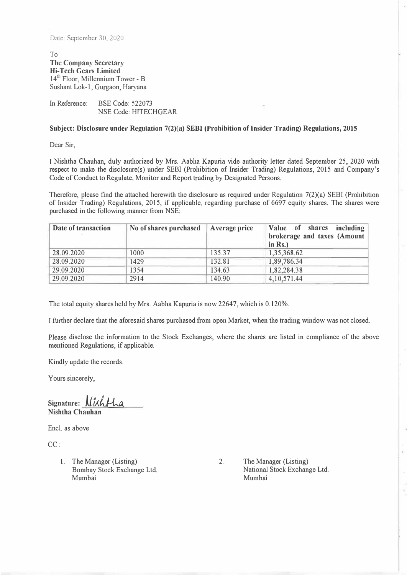Date: September 30, 2020

To **The Company Secretar)' Hi-Tech Gears Limited**  14<sup>th</sup> Floor, Millennium Tower - B Sushant Lok-1, Gurgaon, Haryana

In Reference: BSE Code: 522073 NSE Code: HITECHGEAR

**Subject: Disclosure under Regulation 7(2)(a) SEBI (Prohibition oflnsider Trading) Regulations, 2015** 

Dear Sir,

I Nishtha Chauhan, duly authorized by Mrs. Aabha Kapuria vide authority letter dated September 25, 2020 with respect to make the disclosure(s) under SEBI (Prohibition of Insider Trading) Regulations, 2015 and Company's Code of Conduct to Regulate, Monitor and Report trading by Designated Persons.

Therefore, please find the attached herewith the disclosure as required under Regulation 7(2)(a) SEBI (Prohibition of Insider Trading) Regulations, 2015, if applicable, regarding purchase of 6697 equity shares. The shares were purchased in the following manner from NSE:

| Date of transaction | No of shares purchased | Average price | Value of shares including<br>brokerage and taxes (Amount<br>in $Rs.$ ) |
|---------------------|------------------------|---------------|------------------------------------------------------------------------|
| 28.09.2020          | 1000                   | 135.37        | 1,35,368.62                                                            |
| 28.09.2020          | 1429                   | 132.81        | 1,89,786.34                                                            |
| 29.09.2020          | 1354                   | 134.63        | 1,82,284.38                                                            |
| 29.09.2020          | 2914                   | 140.90        | 4, 10, 571.44                                                          |

The total equity shares held by Mrs. Aabha Kapuria is now 22647, which is 0.120%.

I further declare that the aforesaid shares purchased from open Market, when the trading window was not closed.

Please disclose the information to the Stock Exchanges, where the shares are listed in compliance of the above mentioned Regulations, if applicable.

Kindly update the records.

Yours sincerely,

Signature: *J* **Nishtha Chauhan** 

Encl. as above

CC:

1. The Manager (Listing) Bombay Stock Exchange Ltd. Mumbai

2. The Manager (Listing) National Stock Exchange Ltd. Mumbai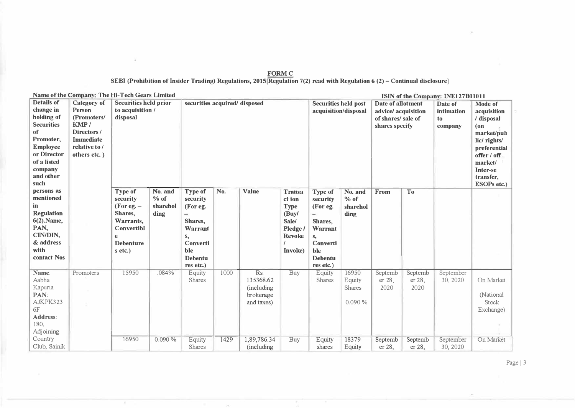| <b>FORM C</b>                                                                                                               |
|-----------------------------------------------------------------------------------------------------------------------------|
| SEBI (Prohibition of Insider Trading) Regulations, 2015 [Regulation 7(2) read with Regulation 6 (2) – Continual disclosure] |

|                         | Name of the Company: The Hi-Tech Gears Limited |                              |          |                               |      |                            |                             |                      |                   |                                           |                   | ISIN of the Company: INE127B01011 |                           |
|-------------------------|------------------------------------------------|------------------------------|----------|-------------------------------|------|----------------------------|-----------------------------|----------------------|-------------------|-------------------------------------------|-------------------|-----------------------------------|---------------------------|
| <b>Details of</b>       | Category of                                    | <b>Securities held prior</b> |          | securities acquired/ disposed |      |                            | <b>Securities held post</b> |                      | Date of allotment |                                           | Date of           | <b>Mode of</b>                    |                           |
| change in               | <b>Person</b>                                  | to acquisition /             |          |                               |      |                            |                             | acquisition/disposal |                   | advice/ acquisition<br>of shares/ sale of |                   | intimation<br>to                  | acquisition               |
| holding of              | (Promoters/                                    | disposal                     |          |                               |      |                            |                             |                      |                   |                                           |                   |                                   | / disposal                |
| <b>Securities</b>       | KMP/                                           |                              |          |                               |      |                            |                             |                      |                   | shares specify                            |                   | company                           | $($ on                    |
| of                      | Directors/                                     |                              |          |                               |      |                            |                             |                      |                   |                                           |                   |                                   | market/pub                |
| Promoter,               | <b>Immediate</b>                               |                              |          |                               |      |                            |                             |                      |                   |                                           |                   |                                   | lic/rights/               |
| <b>Employee</b>         | relative to /                                  |                              |          |                               |      |                            |                             |                      |                   |                                           |                   |                                   | preferential              |
| or Director             | others etc.)                                   |                              |          |                               |      |                            |                             |                      |                   |                                           |                   |                                   | offer / off               |
| of a listed             |                                                |                              |          |                               |      |                            |                             |                      |                   |                                           |                   |                                   | market/                   |
| company                 |                                                |                              |          |                               |      |                            |                             |                      |                   |                                           |                   |                                   | Inter-se                  |
| and other               |                                                |                              |          |                               |      |                            |                             |                      |                   |                                           |                   |                                   | transfer,                 |
| such                    |                                                |                              |          |                               |      |                            |                             |                      |                   |                                           |                   |                                   | ESOPs etc.)               |
| persons as<br>mentioned |                                                | <b>Type of</b>               | No. and  | <b>Type of</b>                | No.  | <b>Value</b>               | <b>Transa</b>               | <b>Type of</b>       | No. and           | From                                      | To                |                                   |                           |
| in                      |                                                | security                     | % of     | security                      |      |                            | ct ion                      | security             | $%$ of            |                                           |                   |                                   |                           |
| <b>Regulation</b>       |                                                | (For eg. $-$<br>Shares,      | sharehol | (For eg.                      |      |                            | <b>Type</b>                 | (For eg.             | sharehol          |                                           |                   |                                   |                           |
| 6(2). Name,             |                                                |                              | ding     | -                             |      |                            | (Buy/                       | ▃                    | ding              |                                           |                   |                                   |                           |
| PAN,                    |                                                | Warrants,<br>Convertibl      |          | Shares,<br>Warrant            |      |                            | Sale/                       | Shares.              |                   |                                           |                   |                                   |                           |
| CIN/DIN.                |                                                | e                            |          |                               |      |                            | Pledge /<br><b>Revoke</b>   | <b>Warrant</b>       |                   |                                           |                   |                                   |                           |
| & address               |                                                | <b>Debenture</b>             |          | s,<br>Converti                |      |                            |                             | S,<br>Converti       |                   |                                           |                   |                                   |                           |
| with                    |                                                | s etc.)                      |          | ble                           |      |                            | Invoke)                     | ble                  |                   |                                           |                   |                                   |                           |
| contact Nos             |                                                |                              |          | <b>Debentu</b>                |      |                            |                             | <b>Debentu</b>       |                   |                                           |                   |                                   |                           |
|                         |                                                |                              |          | res etc.)                     |      |                            |                             | res etc.)            |                   |                                           |                   |                                   |                           |
| Name:                   | Promoters                                      | 15950                        | .084%    | Equity                        | 1000 | Rs.                        | Buy                         | Equity               | 16950             | Septemb                                   | Septemb           | September                         |                           |
| Aabha                   |                                                |                              |          | Shares                        |      | 135368.62                  |                             |                      |                   |                                           |                   | 30, 2020                          | On Market                 |
|                         |                                                |                              |          |                               |      |                            |                             |                      |                   |                                           |                   |                                   |                           |
|                         |                                                |                              |          |                               |      |                            |                             | Shares               | Equity            | er 28,<br>2020                            | er 28,            |                                   |                           |
| Kapuria<br>PAN:         |                                                |                              |          |                               |      | (including)                |                             |                      | <b>Shares</b>     |                                           | 2020              |                                   |                           |
| AJKPK323                |                                                |                              |          |                               |      | brokerage                  |                             |                      | 0.090%            |                                           |                   |                                   | (National<br><b>Stock</b> |
| 6F                      |                                                |                              |          |                               |      | and taxes)                 |                             |                      |                   |                                           |                   |                                   |                           |
| Address:                |                                                |                              |          |                               |      |                            |                             |                      |                   |                                           |                   |                                   | Exchange)                 |
| 180,                    |                                                |                              |          |                               |      |                            |                             |                      |                   |                                           |                   |                                   |                           |
| Adjoining               |                                                |                              |          |                               |      |                            |                             |                      |                   |                                           |                   |                                   |                           |
| Country                 |                                                | 16950                        | 0.090%   |                               |      |                            |                             |                      | 18379             |                                           |                   | September                         |                           |
| Club, Sainik            |                                                |                              |          | Equity<br><b>Shares</b>       | 1429 | 1,89,786.34<br>(including) | Buy                         | Equity<br>shares     | Equity            | Septemb<br>er 28,                         | Septemb<br>er 28. | 30, 2020                          | On Market                 |

 $\sim$ 

 $\mathcal{A}$  .

Page | 3

 $\sim$